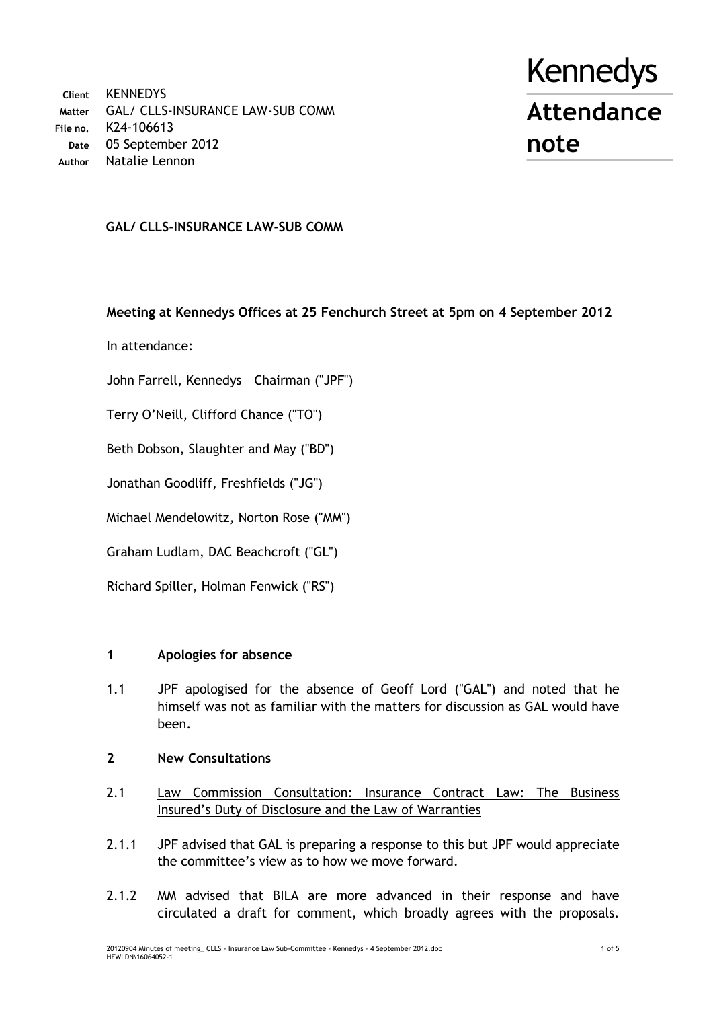**Client** KENNEDYS **Matter** GAL/ CLLS-INSURANCE LAW-SUB COMM **File no.** K24-106613 **Date** 05 September 2012 **Author** Natalie Lennon

# Kennedys **Attendance note**

# **GAL/ CLLS-INSURANCE LAW-SUB COMM**

# **Meeting at Kennedys Offices at 25 Fenchurch Street at 5pm on 4 September 2012**

In attendance:

John Farrell, Kennedys – Chairman ("JPF")

Terry O'Neill, Clifford Chance ("TO")

Beth Dobson, Slaughter and May ("BD")

Jonathan Goodliff, Freshfields ("JG")

Michael Mendelowitz, Norton Rose ("MM")

Graham Ludlam, DAC Beachcroft ("GL")

Richard Spiller, Holman Fenwick ("RS")

# **1 Apologies for absence**

- 1.1 JPF apologised for the absence of Geoff Lord ("GAL") and noted that he himself was not as familiar with the matters for discussion as GAL would have been.
- **2 New Consultations**
- 2.1 Law Commission Consultation: Insurance Contract Law: The Business Insured's Duty of Disclosure and the Law of Warranties
- 2.1.1 JPF advised that GAL is preparing a response to this but JPF would appreciate the committee's view as to how we move forward.
- 2.1.2 MM advised that BILA are more advanced in their response and have circulated a draft for comment, which broadly agrees with the proposals.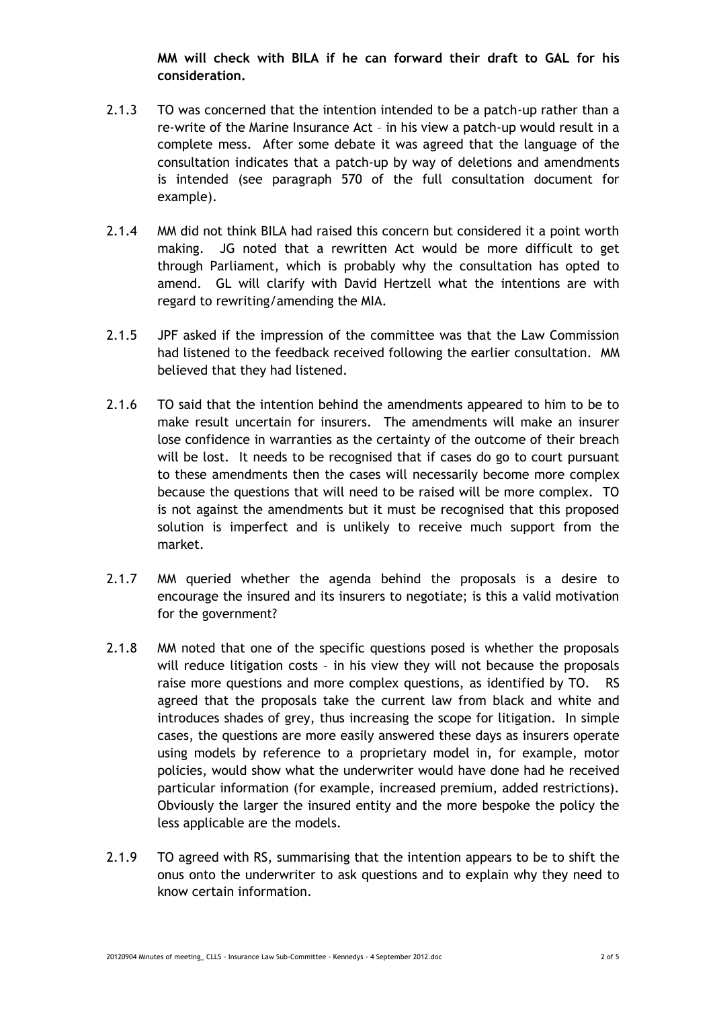**MM will check with BILA if he can forward their draft to GAL for his consideration.**

- 2.1.3 TO was concerned that the intention intended to be a patch-up rather than a re-write of the Marine Insurance Act – in his view a patch-up would result in a complete mess. After some debate it was agreed that the language of the consultation indicates that a patch-up by way of deletions and amendments is intended (see paragraph 570 of the full consultation document for example).
- 2.1.4 MM did not think BILA had raised this concern but considered it a point worth making. JG noted that a rewritten Act would be more difficult to get through Parliament, which is probably why the consultation has opted to amend. GL will clarify with David Hertzell what the intentions are with regard to rewriting/amending the MIA.
- 2.1.5 JPF asked if the impression of the committee was that the Law Commission had listened to the feedback received following the earlier consultation. MM believed that they had listened.
- 2.1.6 TO said that the intention behind the amendments appeared to him to be to make result uncertain for insurers. The amendments will make an insurer lose confidence in warranties as the certainty of the outcome of their breach will be lost. It needs to be recognised that if cases do go to court pursuant to these amendments then the cases will necessarily become more complex because the questions that will need to be raised will be more complex. TO is not against the amendments but it must be recognised that this proposed solution is imperfect and is unlikely to receive much support from the market.
- 2.1.7 MM queried whether the agenda behind the proposals is a desire to encourage the insured and its insurers to negotiate; is this a valid motivation for the government?
- 2.1.8 MM noted that one of the specific questions posed is whether the proposals will reduce litigation costs – in his view they will not because the proposals raise more questions and more complex questions, as identified by TO. RS agreed that the proposals take the current law from black and white and introduces shades of grey, thus increasing the scope for litigation. In simple cases, the questions are more easily answered these days as insurers operate using models by reference to a proprietary model in, for example, motor policies, would show what the underwriter would have done had he received particular information (for example, increased premium, added restrictions). Obviously the larger the insured entity and the more bespoke the policy the less applicable are the models.
- 2.1.9 TO agreed with RS, summarising that the intention appears to be to shift the onus onto the underwriter to ask questions and to explain why they need to know certain information.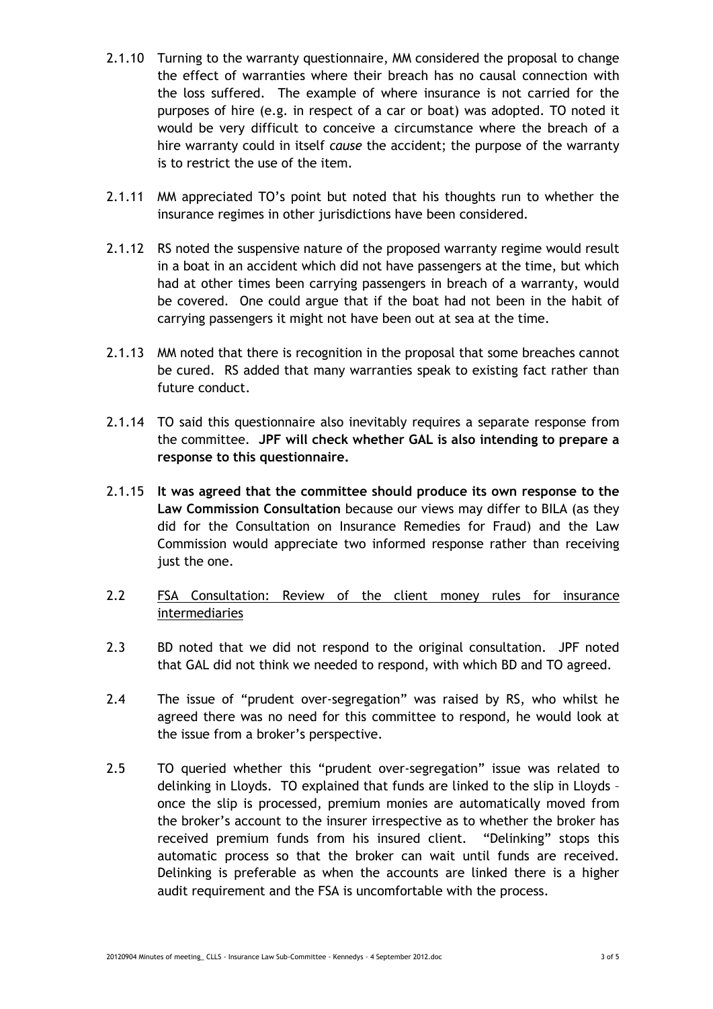- 2.1.10 Turning to the warranty questionnaire, MM considered the proposal to change the effect of warranties where their breach has no causal connection with the loss suffered. The example of where insurance is not carried for the purposes of hire (e.g. in respect of a car or boat) was adopted. TO noted it would be very difficult to conceive a circumstance where the breach of a hire warranty could in itself *cause* the accident; the purpose of the warranty is to restrict the use of the item.
- 2.1.11 MM appreciated TO's point but noted that his thoughts run to whether the insurance regimes in other jurisdictions have been considered.
- 2.1.12 RS noted the suspensive nature of the proposed warranty regime would result in a boat in an accident which did not have passengers at the time, but which had at other times been carrying passengers in breach of a warranty, would be covered. One could argue that if the boat had not been in the habit of carrying passengers it might not have been out at sea at the time.
- 2.1.13 MM noted that there is recognition in the proposal that some breaches cannot be cured. RS added that many warranties speak to existing fact rather than future conduct.
- 2.1.14 TO said this questionnaire also inevitably requires a separate response from the committee. **JPF will check whether GAL is also intending to prepare a response to this questionnaire.**
- 2.1.15 **It was agreed that the committee should produce its own response to the Law Commission Consultation** because our views may differ to BILA (as they did for the Consultation on Insurance Remedies for Fraud) and the Law Commission would appreciate two informed response rather than receiving just the one.
- 2.2 FSA Consultation: Review of the client money rules for insurance intermediaries
- 2.3 BD noted that we did not respond to the original consultation. JPF noted that GAL did not think we needed to respond, with which BD and TO agreed.
- 2.4 The issue of "prudent over-segregation" was raised by RS, who whilst he agreed there was no need for this committee to respond, he would look at the issue from a broker's perspective.
- 2.5 TO queried whether this "prudent over-segregation" issue was related to delinking in Lloyds. TO explained that funds are linked to the slip in Lloyds – once the slip is processed, premium monies are automatically moved from the broker's account to the insurer irrespective as to whether the broker has received premium funds from his insured client. "Delinking" stops this automatic process so that the broker can wait until funds are received. Delinking is preferable as when the accounts are linked there is a higher audit requirement and the FSA is uncomfortable with the process.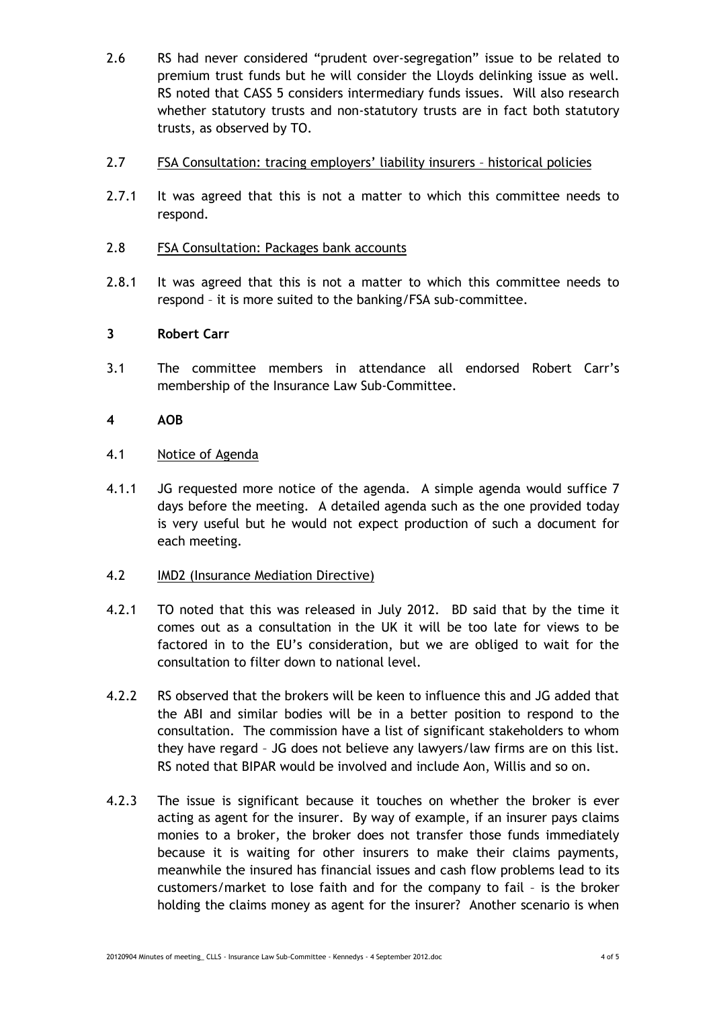- 2.6 RS had never considered "prudent over-segregation" issue to be related to premium trust funds but he will consider the Lloyds delinking issue as well. RS noted that CASS 5 considers intermediary funds issues. Will also research whether statutory trusts and non-statutory trusts are in fact both statutory trusts, as observed by TO.
- 2.7 FSA Consultation: tracing employers' liability insurers historical policies
- 2.7.1 It was agreed that this is not a matter to which this committee needs to respond.
- 2.8 FSA Consultation: Packages bank accounts
- 2.8.1 It was agreed that this is not a matter to which this committee needs to respond – it is more suited to the banking/FSA sub-committee.

# **3 Robert Carr**

3.1 The committee members in attendance all endorsed Robert Carr's membership of the Insurance Law Sub-Committee.

# **4 AOB**

- 4.1 Notice of Agenda
- 4.1.1 JG requested more notice of the agenda. A simple agenda would suffice 7 days before the meeting. A detailed agenda such as the one provided today is very useful but he would not expect production of such a document for each meeting.

#### 4.2 IMD2 (Insurance Mediation Directive)

- 4.2.1 TO noted that this was released in July 2012. BD said that by the time it comes out as a consultation in the UK it will be too late for views to be factored in to the EU's consideration, but we are obliged to wait for the consultation to filter down to national level.
- 4.2.2 RS observed that the brokers will be keen to influence this and JG added that the ABI and similar bodies will be in a better position to respond to the consultation. The commission have a list of significant stakeholders to whom they have regard – JG does not believe any lawyers/law firms are on this list. RS noted that BIPAR would be involved and include Aon, Willis and so on.
- 4.2.3 The issue is significant because it touches on whether the broker is ever acting as agent for the insurer. By way of example, if an insurer pays claims monies to a broker, the broker does not transfer those funds immediately because it is waiting for other insurers to make their claims payments, meanwhile the insured has financial issues and cash flow problems lead to its customers/market to lose faith and for the company to fail – is the broker holding the claims money as agent for the insurer? Another scenario is when